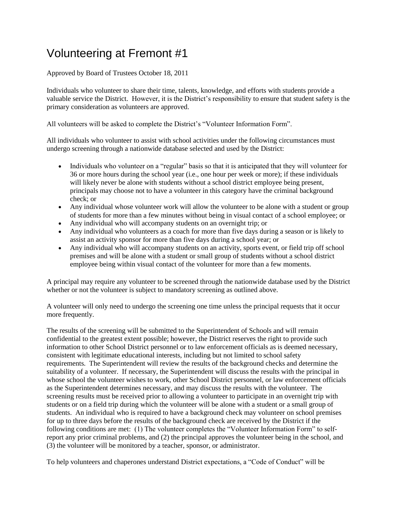## Volunteering at Fremont #1

Approved by Board of Trustees October 18, 2011

Individuals who volunteer to share their time, talents, knowledge, and efforts with students provide a valuable service the District. However, it is the District's responsibility to ensure that student safety is the primary consideration as volunteers are approved.

All volunteers will be asked to complete the District's "Volunteer Information Form".

All individuals who volunteer to assist with school activities under the following circumstances must undergo screening through a nationwide database selected and used by the District:

- Individuals who volunteer on a "regular" basis so that it is anticipated that they will volunteer for 36 or more hours during the school year (i.e., one hour per week or more); if these individuals will likely never be alone with students without a school district employee being present, principals may choose not to have a volunteer in this category have the criminal background check; or
- Any individual whose volunteer work will allow the volunteer to be alone with a student or group of students for more than a few minutes without being in visual contact of a school employee; or
- Any individual who will accompany students on an overnight trip; or
- Any individual who volunteers as a coach for more than five days during a season or is likely to assist an activity sponsor for more than five days during a school year; or
- Any individual who will accompany students on an activity, sports event, or field trip off school premises and will be alone with a student or small group of students without a school district employee being within visual contact of the volunteer for more than a few moments.

A principal may require any volunteer to be screened through the nationwide database used by the District whether or not the volunteer is subject to mandatory screening as outlined above.

A volunteer will only need to undergo the screening one time unless the principal requests that it occur more frequently.

The results of the screening will be submitted to the Superintendent of Schools and will remain confidential to the greatest extent possible; however, the District reserves the right to provide such information to other School District personnel or to law enforcement officials as is deemed necessary, consistent with legitimate educational interests, including but not limited to school safety requirements. The Superintendent will review the results of the background checks and determine the suitability of a volunteer. If necessary, the Superintendent will discuss the results with the principal in whose school the volunteer wishes to work, other School District personnel, or law enforcement officials as the Superintendent determines necessary, and may discuss the results with the volunteer. The screening results must be received prior to allowing a volunteer to participate in an overnight trip with students or on a field trip during which the volunteer will be alone with a student or a small group of students. An individual who is required to have a background check may volunteer on school premises for up to three days before the results of the background check are received by the District if the following conditions are met: (1) The volunteer completes the "Volunteer Information Form" to selfreport any prior criminal problems, and (2) the principal approves the volunteer being in the school, and (3) the volunteer will be monitored by a teacher, sponsor, or administrator.

To help volunteers and chaperones understand District expectations, a "Code of Conduct" will be